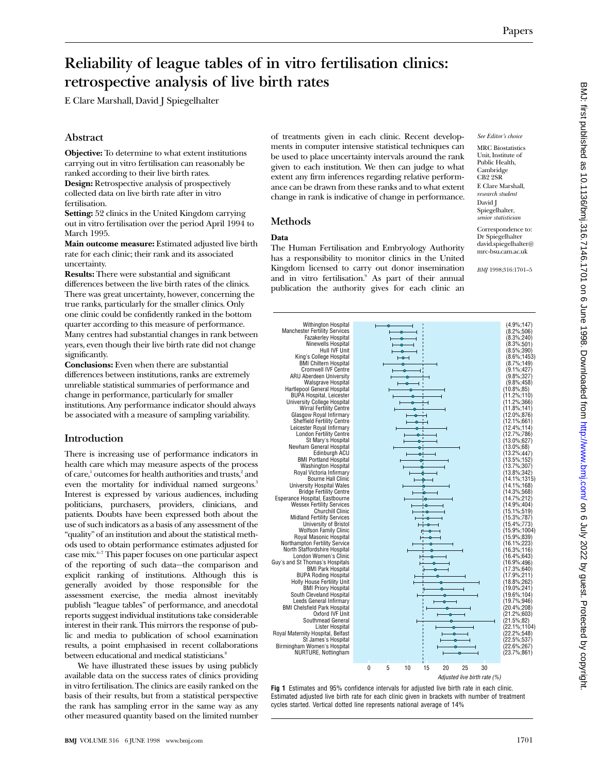# **Reliability of league tables of in vitro fertilisation clinics: retrospective analysis of live birth rates**

E Clare Marshall, David J Spiegelhalter

# **Abstract**

**Objective:** To determine to what extent institutions carrying out in vitro fertilisation can reasonably be ranked according to their live birth rates. **Design:** Retrospective analysis of prospectively collected data on live birth rate after in vitro

fertilisation. **Setting:** 52 clinics in the United Kingdom carrying

out in vitro fertilisation over the period April 1994 to March 1995.

**Main outcome measure:** Estimated adjusted live birth rate for each clinic; their rank and its associated uncertainty.

**Results:** There were substantial and significant differences between the live birth rates of the clinics. There was great uncertainty, however, concerning the true ranks, particularly for the smaller clinics. Only one clinic could be confidently ranked in the bottom quarter according to this measure of performance. Many centres had substantial changes in rank between years, even though their live birth rate did not change significantly.

**Conclusions:** Even when there are substantial differences between institutions, ranks are extremely unreliable statistical summaries of performance and change in performance, particularly for smaller institutions. Any performance indicator should always be associated with a measure of sampling variability.

# **Introduction**

There is increasing use of performance indicators in health care which may measure aspects of the process of care,<sup>1</sup> outcomes for health authorities and trusts,<sup>2</sup> and even the mortality for individual named surgeons.<sup>3</sup> Interest is expressed by various audiences, including politicians, purchasers, providers, clinicians, and patients. Doubts have been expressed both about the use of such indicators as a basis of any assessment of the "quality" of an institution and about the statistical methods used to obtain performance estimates adjusted for case mix.4–7 This paper focuses on one particular aspect of the reporting of such data—the comparison and explicit ranking of institutions. Although this is generally avoided by those responsible for the assessment exercise, the media almost inevitably publish "league tables" of performance, and anecdotal reports suggest individual institutions take considerable interest in their rank. This mirrors the response of public and media to publication of school examination results, a point emphasised in recent collaborations between educational and medical statisticians.<sup>8</sup>

We have illustrated these issues by using publicly available data on the success rates of clinics providing in vitro fertilisation. The clinics are easily ranked on the basis of their results, but from a statistical perspective the rank has sampling error in the same way as any other measured quantity based on the limited number

of treatments given in each clinic. Recent developments in computer intensive statistical techniques can be used to place uncertainty intervals around the rank given to each institution. We then can judge to what extent any firm inferences regarding relative performance can be drawn from these ranks and to what extent change in rank is indicative of change in performance.

### **Methods**

#### **Data**

The Human Fertilisation and Embryology Authority has a responsibility to monitor clinics in the United Kingdom licensed to carry out donor insemination and in vitro fertilisation.<sup>9</sup> As part of their annual publication the authority gives for each clinic an

Withington Hospital Manchester Fertility Services Fazakerley Hospital Ninewells Hospital Hull IVF Unit King's College Hospital BMI Chiltern Hospital Cromwell IVF Centre ARU Aberdeen University Walsgrave Hospital Hartlepool General Hospital BUPA Hospital, Leicester University College Hospital Wirral Fertility Centre Glasgow Royal Infirmary Sheffield Fertility Centre Leicester Royal Infirmary London Fertility Centre St Mary's Hospital Newham General Hospital Edinburgh ACU BMI Portland Hospital Washington Hospital Royal Victoria Infirmary Bourne Hall Clinic University Hospital Wales Bridge Fertility Centre Esperance Hospital, Eastbourne Wessex Fertility Services Churchill Clinic Midland Fertility Services University of Bristol Wolfson Family Clinic Royal Masonic Hospital Northampton Fertility Service North Staffordshire Hospital London Women's Clinic Guy's and St Thomas's Hospitals BMI Park Hospital BUPA Roding Hospital Holly House Fertility Unit BMI Priory Hospital South Cleveland Hospital Leeds General Infirmary BMI Chelsfield Park Hospital Oxford IVF Unit Southmead General Lister Hospital Royal Maternity Hospital, Belfast St James's Hospital Birmingham Women's Hospital NURTURE, Nottingham



**Fig 1** Estimates and 95% confidence intervals for adjusted live birth rate in each clinic. Estimated adjusted live birth rate for each clinic given in brackets with number of treatment cycles started. Vertical dotted line represents national average of 14%

*See Editor's choice*

MRC Biostatistics Unit, Institute of Public Health, Cambridge CB2 2SR E Clare Marshall, *research student* David J Spiegelhalter, *senior statistician*

Correspondence to: Dr Spiegelhalter david.spiegelhalter@ mrc-bsu.cam.ac.uk

*BMJ* 1998;316:1701–5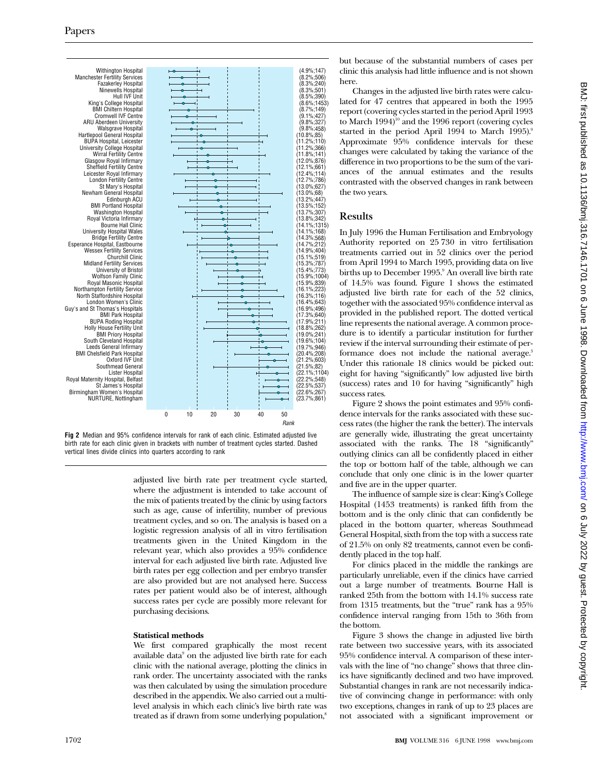

**Fig 2** Median and 95% confidence intervals for rank of each clinic. Estimated adjusted live birth rate for each clinic given in brackets with number of treatment cycles started. Dashed vertical lines divide clinics into quarters according to rank

adjusted live birth rate per treatment cycle started, where the adjustment is intended to take account of the mix of patients treated by the clinic by using factors such as age, cause of infertility, number of previous treatment cycles, and so on. The analysis is based on a logistic regression analysis of all in vitro fertilisation treatments given in the United Kingdom in the relevant year, which also provides a 95% confidence interval for each adjusted live birth rate. Adjusted live birth rates per egg collection and per embryo transfer are also provided but are not analysed here. Success rates per patient would also be of interest, although success rates per cycle are possibly more relevant for purchasing decisions.

#### **Statistical methods**

We first compared graphically the most recent available data<sup>9</sup> on the adjusted live birth rate for each clinic with the national average, plotting the clinics in rank order. The uncertainty associated with the ranks was then calculated by using the simulation procedure described in the appendix. We also carried out a multilevel analysis in which each clinic's live birth rate was treated as if drawn from some underlying population,<sup>8</sup>

but because of the substantial numbers of cases per clinic this analysis had little influence and is not shown here.

Changes in the adjusted live birth rates were calculated for 47 centres that appeared in both the 1995 report (covering cycles started in the period April 1993 to March  $1994)$ <sup>10</sup> and the 1996 report (covering cycles started in the period April 1994 to March 1995).<sup>9</sup> Approximate 95% confidence intervals for these changes were calculated by taking the variance of the difference in two proportions to be the sum of the variances of the annual estimates and the results contrasted with the observed changes in rank between the two years.

### **Results**

In July 1996 the Human Fertilisation and Embryology Authority reported on 25 730 in vitro fertilisation treatments carried out in 52 clinics over the period from April 1994 to March 1995, providing data on live births up to December 1995.<sup>9</sup> An overall live birth rate of 14.5% was found. Figure 1 shows the estimated adjusted live birth rate for each of the 52 clinics, together with the associated 95% confidence interval as provided in the published report. The dotted vertical line represents the national average. A common procedure is to identify a particular institution for further review if the interval surrounding their estimate of performance does not include the national average.<sup>3</sup> Under this rationale 18 clinics would be picked out: eight for having "significantly" low adjusted live birth (success) rates and 10 for having "significantly" high success rates.

Figure 2 shows the point estimates and 95% confidence intervals for the ranks associated with these success rates (the higher the rank the better). The intervals are generally wide, illustrating the great uncertainty associated with the ranks. The 18 "significantly" outlying clinics can all be confidently placed in either the top or bottom half of the table, although we can conclude that only one clinic is in the lower quarter and five are in the upper quarter.

The influence of sample size is clear: King's College Hospital (1453 treatments) is ranked fifth from the bottom and is the only clinic that can confidently be placed in the bottom quarter, whereas Southmead General Hospital, sixth from the top with a success rate of 21.5% on only 82 treatments, cannot even be confidently placed in the top half.

For clinics placed in the middle the rankings are particularly unreliable, even if the clinics have carried out a large number of treatments. Bourne Hall is ranked 25th from the bottom with 14.1% success rate from 1315 treatments, but the "true" rank has a 95% confidence interval ranging from 15th to 36th from the bottom.

Figure 3 shows the change in adjusted live birth rate between two successive years, with its associated 95% confidence interval. A comparison of these intervals with the line of "no change" shows that three clinics have significantly declined and two have improved. Substantial changes in rank are not necessarily indicative of convincing change in performance: with only two exceptions, changes in rank of up to 23 places are not associated with a significant improvement or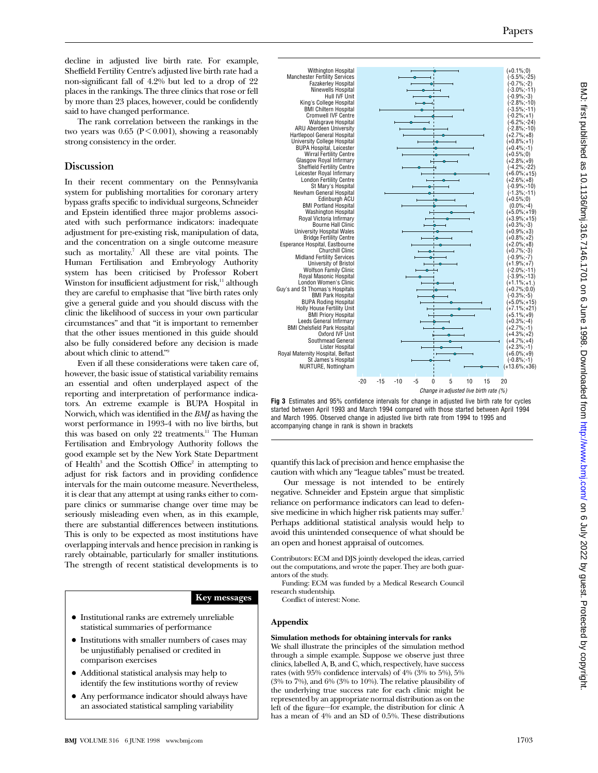BMJ: first published as 10.1136/bmj.316.7146.1701 on 6 June 1998. Downloaded from http://www.bmj.com/ on 6 July 2022 by guest. Protected by copyright ms, 2022 by guest. Protected by copyright. Protect as 10.101010 on 6 July 2022 by guest. Published as 10.1146.1716. <http://www.bmj.com/> BMJ on 6 July 2022 pMJ: first published by copyright.

decline in adjusted live birth rate. For example, Sheffield Fertility Centre's adjusted live birth rate had a non-significant fall of 4.2% but led to a drop of 22 places in the rankings. The three clinics that rose or fell by more than 23 places, however, could be confidently said to have changed performance.

The rank correlation between the rankings in the two years was  $0.65$  (P < 0.001), showing a reasonably strong consistency in the order.

### **Discussion**

In their recent commentary on the Pennsylvania system for publishing mortalities for coronary artery bypass grafts specific to individual surgeons, Schneider and Epstein identified three major problems associated with such performance indicators: inadequate adjustment for pre-existing risk, manipulation of data, and the concentration on a single outcome measure such as mortality.<sup>7</sup> All these are vital points. The Human Fertilisation and Embryology Authority system has been criticised by Professor Robert Winston for insufficient adjustment for risk,<sup>11</sup> although they are careful to emphasise that "live birth rates only give a general guide and you should discuss with the clinic the likelihood of success in your own particular circumstances" and that "it is important to remember that the other issues mentioned in this guide should also be fully considered before any decision is made about which clinic to attend."

Even if all these considerations were taken care of, however, the basic issue of statistical variability remains an essential and often underplayed aspect of the reporting and interpretation of performance indicators. An extreme example is BUPA Hospital in Norwich, which was identified in the *BMJ* as having the worst performance in 1993-4 with no live births, but this was based on only 22 treatments.<sup>11</sup> The Human Fertilisation and Embryology Authority follows the good example set by the New York State Department of Health<sup>3</sup> and the Scottish Office<sup>2</sup> in attempting to adjust for risk factors and in providing confidence intervals for the main outcome measure. Nevertheless, it is clear that any attempt at using ranks either to compare clinics or summarise change over time may be seriously misleading even when, as in this example, there are substantial differences between institutions. This is only to be expected as most institutions have overlapping intervals and hence precision in ranking is rarely obtainable, particularly for smaller institutions. The strength of recent statistical developments is to

#### **Key messages**

- + Institutional ranks are extremely unreliable statistical summaries of performance
- Institutions with smaller numbers of cases may be unjustifiably penalised or credited in comparison exercises
- + Additional statistical analysis may help to identify the few institutions worthy of review
- + Any performance indicator should always have an associated statistical sampling variability



**Fig 3** Estimates and 95% confidence intervals for change in adjusted live birth rate for cycles started between April 1993 and March 1994 compared with those started between April 1994 and March 1995. Observed change in adjusted live birth rate from 1994 to 1995 and accompanying change in rank is shown in brackets

quantify this lack of precision and hence emphasise the caution with which any "league tables" must be treated.

Our message is not intended to be entirely negative. Schneider and Epstein argue that simplistic reliance on performance indicators can lead to defensive medicine in which higher risk patients may suffer.<sup>7</sup> Perhaps additional statistical analysis would help to avoid this unintended consequence of what should be an open and honest appraisal of outcomes.

Contributors: ECM and DJS jointly developed the ideas, carried out the computations, and wrote the paper. They are both guarantors of the study.

Funding: ECM was funded by a Medical Research Council research studentship.

Conflict of interest: None.

#### **Appendix**

#### **Simulation methods for obtaining intervals for ranks**

We shall illustrate the principles of the simulation method through a simple example. Suppose we observe just three clinics, labelled A, B, and C, which, respectively, have success rates (with 95% confidence intervals) of 4% (3% to 5%), 5% (3% to 7%), and 6% (3% to 10%). The relative plausibility of the underlying true success rate for each clinic might be represented by an appropriate normal distribution as on the left of the figure—for example, the distribution for clinic A has a mean of 4% and an SD of 0.5%. These distributions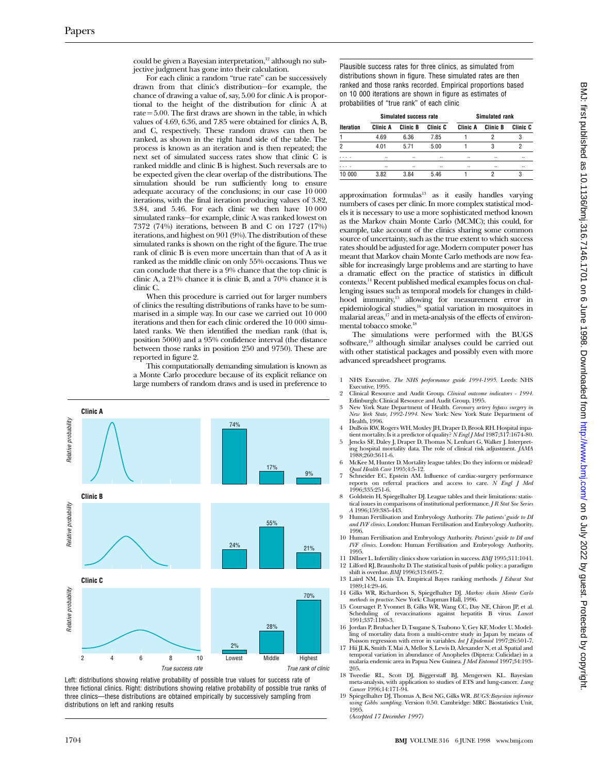could be given a Bayesian interpretation, $12$  although no subjective judgment has gone into their calculation.

For each clinic a random "true rate" can be successively drawn from that clinic's distribution—for example, the chance of drawing a value of, say, 5.00 for clinic A is proportional to the height of the distribution for clinic A at rate = 5.00. The first draws are shown in the table, in which values of 4.69, 6.36, and 7.85 were obtained for clinics A, B, and C, respectively. These random draws can then be ranked, as shown in the right hand side of the table. The process is known as an iteration and is then repeated; the next set of simulated success rates show that clinic C is ranked middle and clinic B is highest. Such reversals are to be expected given the clear overlap of the distributions. The simulation should be run sufficiently long to ensure adequate accuracy of the conclusions; in our case 10 000 iterations, with the final iteration producing values of 3.82, 3.84, and 5.46. For each clinic we then have 10 000 simulated ranks—for example, clinic A was ranked lowest on 7372 (74%) iterations, between B and C on 1727 (17%) iterations, and highest on 901 (9%). The distribution of these simulated ranks is shown on the right of the figure. The true rank of clinic B is even more uncertain than that of A as it ranked as the middle clinic on only 55% occasions. Thus we can conclude that there is a 9% chance that the top clinic is clinic A, a 21% chance it is clinic B, and a 70% chance it is clinic C.

When this procedure is carried out for larger numbers of clinics the resulting distributions of ranks have to be summarised in a simple way. In our case we carried out 10 000 iterations and then for each clinic ordered the 10 000 simulated ranks. We then identified the median rank (that is, position 5000) and a 95% confidence interval (the distance between those ranks in position 250 and 9750). These are reported in figure 2.

This computationally demanding simulation is known as a Monte Carlo procedure because of its explicit reliance on large numbers of random draws and is used in preference to



Left: distributions showing relative probability of possible true values for success rate of three fictional clinics. Right: distributions showing relative probability of possible true ranks of three clinics—these distributions are obtained empirically by successively sampling from distributions on left and ranking results

Plausible success rates for three clinics, as simulated from distributions shown in figure. These simulated rates are then ranked and those ranks recorded. Empirical proportions based on 10 000 iterations are shown in figure as estimates of probabilities of "true rank" of each clinic

| <b>Iteration</b> | Simulated success rate |          |          | Simulated rank |          |                      |
|------------------|------------------------|----------|----------|----------------|----------|----------------------|
|                  | Clinic A               | Clinic B | Clinic C | Clinic A       | Clinic B | Clinic C             |
|                  | 4.69                   | 6.36     | 7.85     |                |          | 3                    |
| っ                | 4.01                   | 5.71     | 5.00     |                | 3        | 2                    |
| .                | $\ddot{\phantom{0}}$   |          |          |                |          |                      |
| .                | $\ddot{\phantom{0}}$   |          |          |                |          | $\ddot{\phantom{0}}$ |
| 10 000           | 3.82                   | 384      | 5.46     |                |          | 3                    |

approximation formulas $13$  as it easily handles varying numbers of cases per clinic. In more complex statistical models it is necessary to use a more sophisticated method known as the Markov chain Monte Carlo (MCMC); this could, for example, take account of the clinics sharing some common source of uncertainty, such as the true extent to which success rates should be adjusted for age. Modern computer power has meant that Markov chain Monte Carlo methods are now feasible for increasingly large problems and are starting to have a dramatic effect on the practice of statistics in difficult contexts.14 Recent published medical examples focus on challenging issues such as temporal models for changes in childhood immunity,15 allowing for measurement error in epidemiological studies,16 spatial variation in mosquitoes in malarial areas,17 and in meta-analysis of the effects of environmental tobacco smoke.<sup>1</sup>

The simulations were performed with the BUGS software,<sup>19</sup> although similar analyses could be carried out with other statistical packages and possibly even with more advanced spreadsheet programs.

- 1 NHS Executive. *The NHS performance guide 1994-1995.* Leeds: NHS Executive, 1995.
- 2 Clinical Resource and Audit Group. *Clinical outcome indicators 1994.* Edinburgh: Clinical Resource and Audit Group, 1995.
- 3 New York State Department of Health. *Coronary artery bypass surgery in New York State, 1992-1994.* New York: New York State Department of Health, 1996.
- 4 DuBois RW, Rogers WH, Moxley JH, Draper D, Brook RH. Hospital inpa-
- tient mortality. Is it a predictor of quality? *N Engl J Med* 1987;317:1674-80. 5 Jencks SF, Daley J, Draper D, Thomas N, Lenhart G, Walker J. Interpreting hospital mortality data. The role of clinical risk adjustment. *JAMA* 1988;260:3611-6.
- 6 McKee M, Hunter D. Mortality league tables: Do they inform or mislead? *Qual Health Care* 1995;4:5-12.
- 7 Schneider EC, Epstein AM. Influence of cardiac-surgery performance reports on referral practices and access to care. *N Engl J Med* 1996;335:251-6.
- 8 Goldstein H, Spiegelhalter DJ. League tables and their limitations: statistical issues in comparisons of institutional performance. *J R Stat Soc Series A* 1996;159:385-443.
- 9 Human Fertilisation and Embryology Authority. *The patients' guide to DI and IVF clinics.* London: Human Fertilisation and Embryology Authority, 1996.
- 10 Human Fertilisation and Embryology Authority. *Patients' guide to DI and IVF clinics*. London: Human Fertilisation and Embryology Authority, 1995.
- 11 Dillner L. Infertility clinics show variation in success. *BMJ* 1995;311:1041. 12 Lilford RJ, Braunholtz D. The statistical basis of public policy: a paradigm
- shift is overdue. *BMJ* 1996;313:603-7. 13 Laird NM, Louis TA. Empirical Bayes ranking methods. *J Educat Stat* 1989;14:29-46.
- 14 Gilks WR, Richardson S, Spiegelhalter DJ. *Markov chain Monte Carlo*
- methods in practice. New York: Chapman Hall, 1996.<br>15 Coursaget P, Yvonnet B, Gilks WR, Wang CC, Day NE, Chiron JP, et al. Scheduling of revaccinations against hepatitis B virus. *Lancet* 1991;337:1180-3.
- 16 Jordan P, Brubacher D, Tsugane S, Tsubono Y, Gey KF, Moder U. Modelling of mortality data from a multi-centre study in Japan by means of Poisson regression with error in variables. *Int J Epidemiol* 1997;26:501-7.
- 17 Hii JLK, Smith T, Mai A, Mellor S, Lewis D, Alexander N, et al. Spatial and temporal variation in abundance of Anopheles (Diptera: Culicidae) in a malaria endemic area in Papua New Guinea. *J Med Entomol* 1997;34:193- 205.
- 18 Tweedie RL, Scott DJ, Biggerstaff BJ, Mengersen KL. Bayesian meta-analysis, with application to studies of ETS and lung-cancer. *Lung Cancer* 1996;14:171-94.
- 19 Spiegelhalter DJ, Thomas A, Best NG, Gilks WR. *BUGS: Bayesian inference using Gibbs sampling*. Version 0.50. Cambridge: MRC Biostatistics Unit, 1995.
	- *(Accepted 17 December 1997)*